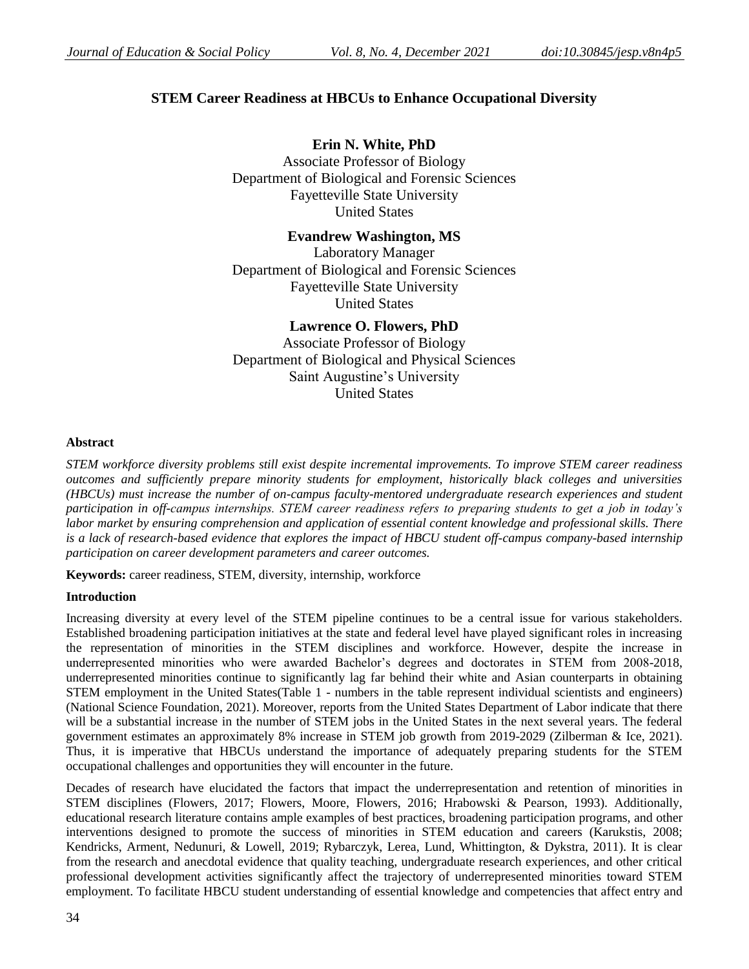# **STEM Career Readiness at HBCUs to Enhance Occupational Diversity**

**Erin N. White, PhD** Associate Professor of Biology Department of Biological and Forensic Sciences Fayetteville State University United States

**Evandrew Washington, MS**

Laboratory Manager Department of Biological and Forensic Sciences Fayetteville State University United States

**Lawrence O. Flowers, PhD**

Associate Professor of Biology Department of Biological and Physical Sciences Saint Augustine's University United States

### **Abstract**

*STEM workforce diversity problems still exist despite incremental improvements. To improve STEM career readiness outcomes and sufficiently prepare minority students for employment, historically black colleges and universities (HBCUs) must increase the number of on-campus faculty-mentored undergraduate research experiences and student participation in off-campus internships. STEM career readiness refers to preparing students to get a job in today's labor market by ensuring comprehension and application of essential content knowledge and professional skills. There is a lack of research-based evidence that explores the impact of HBCU student off-campus company-based internship participation on career development parameters and career outcomes.*

**Keywords:** career readiness, STEM, diversity, internship, workforce

## **Introduction**

Increasing diversity at every level of the STEM pipeline continues to be a central issue for various stakeholders. Established broadening participation initiatives at the state and federal level have played significant roles in increasing the representation of minorities in the STEM disciplines and workforce. However, despite the increase in underrepresented minorities who were awarded Bachelor's degrees and doctorates in STEM from 2008-2018, underrepresented minorities continue to significantly lag far behind their white and Asian counterparts in obtaining STEM employment in the United States(Table 1 - numbers in the table represent individual scientists and engineers) (National Science Foundation, 2021). Moreover, reports from the United States Department of Labor indicate that there will be a substantial increase in the number of STEM jobs in the United States in the next several years. The federal government estimates an approximately 8% increase in STEM job growth from 2019-2029 (Zilberman & Ice, 2021). Thus, it is imperative that HBCUs understand the importance of adequately preparing students for the STEM occupational challenges and opportunities they will encounter in the future.

Decades of research have elucidated the factors that impact the underrepresentation and retention of minorities in STEM disciplines (Flowers, 2017; Flowers, Moore, Flowers, 2016; Hrabowski & Pearson, 1993). Additionally, educational research literature contains ample examples of best practices, broadening participation programs, and other interventions designed to promote the success of minorities in STEM education and careers (Karukstis, 2008; Kendricks, Arment, Nedunuri, & Lowell, 2019; Rybarczyk, Lerea, Lund, Whittington, & Dykstra, 2011). It is clear from the research and anecdotal evidence that quality teaching, undergraduate research experiences, and other critical professional development activities significantly affect the trajectory of underrepresented minorities toward STEM employment. To facilitate HBCU student understanding of essential knowledge and competencies that affect entry and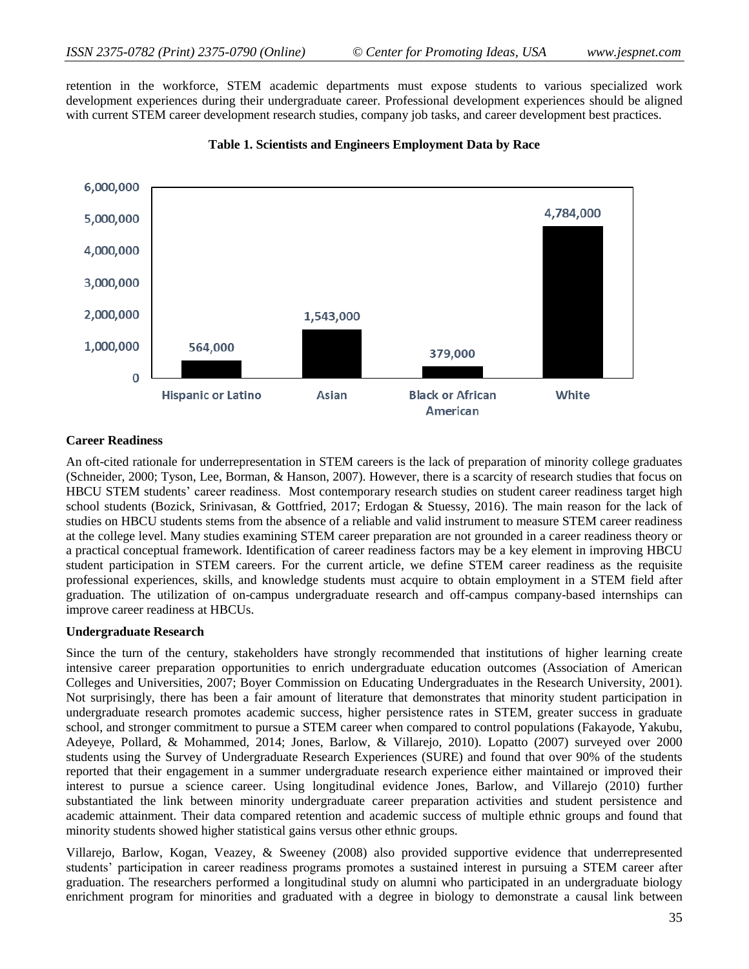retention in the workforce, STEM academic departments must expose students to various specialized work development experiences during their undergraduate career. Professional development experiences should be aligned with current STEM career development research studies, company job tasks, and career development best practices.



#### **Table 1. Scientists and Engineers Employment Data by Race**

### **Career Readiness**

An oft-cited rationale for underrepresentation in STEM careers is the lack of preparation of minority college graduates (Schneider, 2000; Tyson, Lee, Borman, & Hanson, 2007). However, there is a scarcity of research studies that focus on HBCU STEM students' career readiness. Most contemporary research studies on student career readiness target high school students (Bozick, Srinivasan, & Gottfried, 2017; Erdogan & Stuessy, 2016). The main reason for the lack of studies on HBCU students stems from the absence of a reliable and valid instrument to measure STEM career readiness at the college level. Many studies examining STEM career preparation are not grounded in a career readiness theory or a practical conceptual framework. Identification of career readiness factors may be a key element in improving HBCU student participation in STEM careers. For the current article, we define STEM career readiness as the requisite professional experiences, skills, and knowledge students must acquire to obtain employment in a STEM field after graduation. The utilization of on-campus undergraduate research and off-campus company-based internships can improve career readiness at HBCUs.

#### **Undergraduate Research**

Since the turn of the century, stakeholders have strongly recommended that institutions of higher learning create intensive career preparation opportunities to enrich undergraduate education outcomes (Association of American Colleges and Universities, 2007; Boyer Commission on Educating Undergraduates in the Research University, 2001). Not surprisingly, there has been a fair amount of literature that demonstrates that minority student participation in undergraduate research promotes academic success, higher persistence rates in STEM, greater success in graduate school, and stronger commitment to pursue a STEM career when compared to control populations (Fakayode, Yakubu, Adeyeye, Pollard, & Mohammed, 2014; Jones, Barlow, & Villarejo, 2010). Lopatto (2007) surveyed over 2000 students using the Survey of Undergraduate Research Experiences (SURE) and found that over 90% of the students reported that their engagement in a summer undergraduate research experience either maintained or improved their interest to pursue a science career. Using longitudinal evidence Jones, Barlow, and Villarejo (2010) further substantiated the link between minority undergraduate career preparation activities and student persistence and academic attainment. Their data compared retention and academic success of multiple ethnic groups and found that minority students showed higher statistical gains versus other ethnic groups.

Villarejo, Barlow, Kogan, Veazey, & Sweeney (2008) also provided supportive evidence that underrepresented students' participation in career readiness programs promotes a sustained interest in pursuing a STEM career after graduation. The researchers performed a longitudinal study on alumni who participated in an undergraduate biology enrichment program for minorities and graduated with a degree in biology to demonstrate a causal link between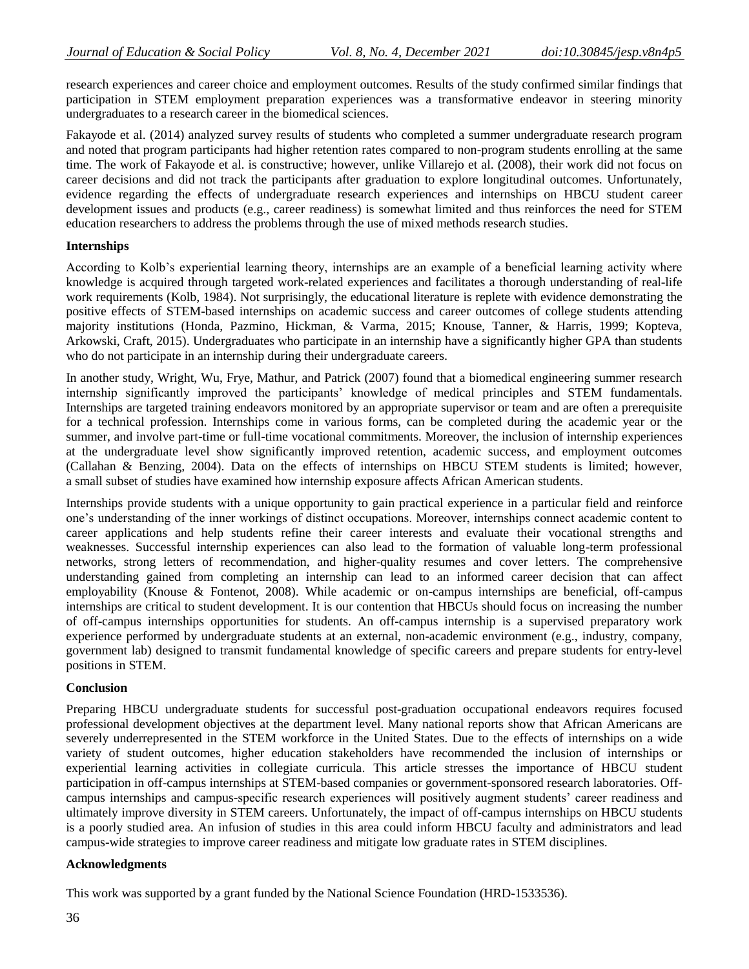research experiences and career choice and employment outcomes. Results of the study confirmed similar findings that participation in STEM employment preparation experiences was a transformative endeavor in steering minority undergraduates to a research career in the biomedical sciences.

Fakayode et al. (2014) analyzed survey results of students who completed a summer undergraduate research program and noted that program participants had higher retention rates compared to non-program students enrolling at the same time. The work of Fakayode et al. is constructive; however, unlike Villarejo et al. (2008), their work did not focus on career decisions and did not track the participants after graduation to explore longitudinal outcomes. Unfortunately, evidence regarding the effects of undergraduate research experiences and internships on HBCU student career development issues and products (e.g., career readiness) is somewhat limited and thus reinforces the need for STEM education researchers to address the problems through the use of mixed methods research studies.

## **Internships**

According to Kolb's experiential learning theory, internships are an example of a beneficial learning activity where knowledge is acquired through targeted work-related experiences and facilitates a thorough understanding of real-life work requirements (Kolb, 1984). Not surprisingly, the educational literature is replete with evidence demonstrating the positive effects of STEM-based internships on academic success and career outcomes of college students attending majority institutions (Honda, Pazmino, Hickman, & Varma, 2015; Knouse, Tanner, & Harris, 1999; Kopteva, Arkowski, Craft, 2015). Undergraduates who participate in an internship have a significantly higher GPA than students who do not participate in an internship during their undergraduate careers.

In another study, Wright, Wu, Frye, Mathur, and Patrick (2007) found that a biomedical engineering summer research internship significantly improved the participants' knowledge of medical principles and STEM fundamentals. Internships are targeted training endeavors monitored by an appropriate supervisor or team and are often a prerequisite for a technical profession. Internships come in various forms, can be completed during the academic year or the summer, and involve part-time or full-time vocational commitments. Moreover, the inclusion of internship experiences at the undergraduate level show significantly improved retention, academic success, and employment outcomes (Callahan & Benzing, 2004). Data on the effects of internships on HBCU STEM students is limited; however, a small subset of studies have examined how internship exposure affects African American students.

Internships provide students with a unique opportunity to gain practical experience in a particular field and reinforce one's understanding of the inner workings of distinct occupations. Moreover, internships connect academic content to career applications and help students refine their career interests and evaluate their vocational strengths and weaknesses. Successful internship experiences can also lead to the formation of valuable long-term professional networks, strong letters of recommendation, and higher-quality resumes and cover letters. The comprehensive understanding gained from completing an internship can lead to an informed career decision that can affect employability (Knouse & Fontenot, 2008). While academic or on-campus internships are beneficial, off-campus internships are critical to student development. It is our contention that HBCUs should focus on increasing the number of off-campus internships opportunities for students. An off-campus internship is a supervised preparatory work experience performed by undergraduate students at an external, non-academic environment (e.g., industry, company, government lab) designed to transmit fundamental knowledge of specific careers and prepare students for entry-level positions in STEM.

## **Conclusion**

Preparing HBCU undergraduate students for successful post-graduation occupational endeavors requires focused professional development objectives at the department level. Many national reports show that African Americans are severely underrepresented in the STEM workforce in the United States. Due to the effects of internships on a wide variety of student outcomes, higher education stakeholders have recommended the inclusion of internships or experiential learning activities in collegiate curricula. This article stresses the importance of HBCU student participation in off-campus internships at STEM-based companies or government-sponsored research laboratories. Offcampus internships and campus-specific research experiences will positively augment students' career readiness and ultimately improve diversity in STEM careers. Unfortunately, the impact of off-campus internships on HBCU students is a poorly studied area. An infusion of studies in this area could inform HBCU faculty and administrators and lead campus-wide strategies to improve career readiness and mitigate low graduate rates in STEM disciplines.

## **Acknowledgments**

This work was supported by a grant funded by the National Science Foundation (HRD-1533536).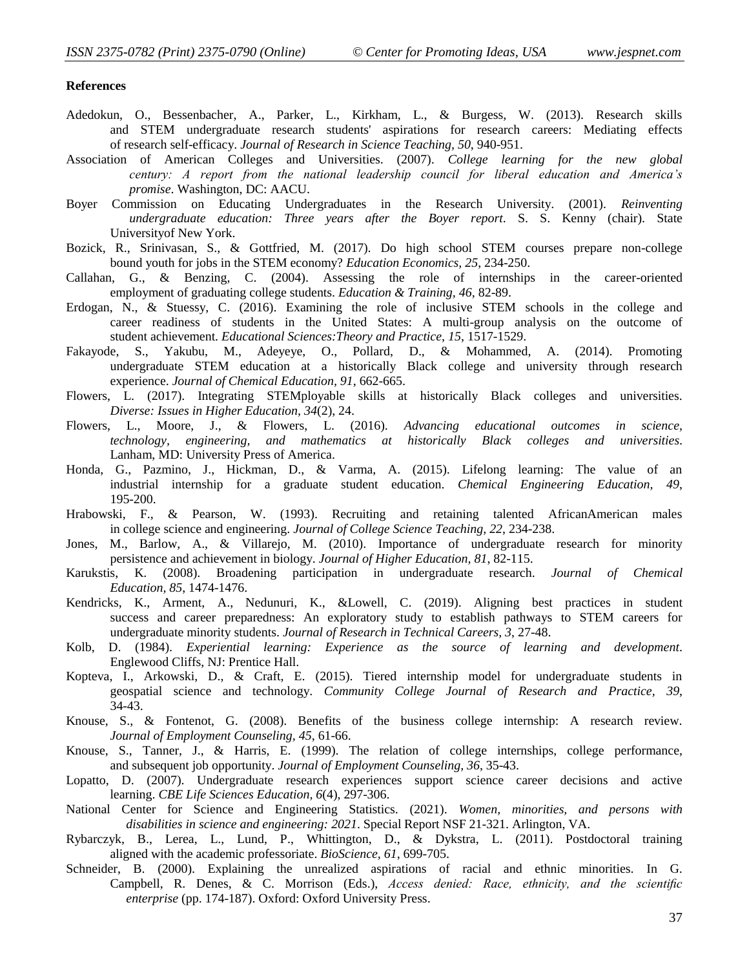#### **References**

- Adedokun, O., Bessenbacher, A., Parker, L., Kirkham, L., & Burgess, W. (2013). Research skills and STEM undergraduate research students' aspirations for research careers: Mediating effects of research self-efficacy. *Journal of Research in Science Teaching, 50*, 940-951.
- Association of American Colleges and Universities. (2007). *College learning for the new global century: A report from the national leadership council for liberal education and America's promise*. Washington, DC: AACU.
- Boyer Commission on Educating Undergraduates in the Research University. (2001). *Reinventing undergraduate education: Three years after the Boyer report*. S. S. Kenny (chair). State Universityof New York.
- Bozick, R., Srinivasan, S., & Gottfried, M. (2017). Do high school STEM courses prepare non-college bound youth for jobs in the STEM economy? *Education Economics, 25*, 234-250.
- Callahan, G., & Benzing, C. (2004). Assessing the role of internships in the career-oriented employment of graduating college students. *Education & Training, 46*, 82-89.
- Erdogan, N., & Stuessy, C. (2016). Examining the role of inclusive STEM schools in the college and career readiness of students in the United States: A multi-group analysis on the outcome of student achievement. *Educational Sciences:Theory and Practice, 15*, 1517-1529.
- Fakayode, S., Yakubu, M., Adeyeye, O., Pollard, D., & Mohammed, A. (2014). Promoting undergraduate STEM education at a historically Black college and university through research experience. *Journal of Chemical Education, 91*, 662-665.
- Flowers, L. (2017). Integrating STEMployable skills at historically Black colleges and universities. *Diverse: Issues in Higher Education, 34*(2), 24.
- Flowers, L., Moore, J., & Flowers, L. (2016). *Advancing educational outcomes in science, technology, engineering, and mathematics at historically Black colleges and universities*. Lanham, MD: University Press of America.
- Honda, G., Pazmino, J., Hickman, D., & Varma, A. (2015). Lifelong learning: The value of an industrial internship for a graduate student education. *Chemical Engineering Education, 49*, 195-200.
- Hrabowski, F., & Pearson, W. (1993). Recruiting and retaining talented AfricanAmerican males in college science and engineering. *Journal of College Science Teaching, 22*, 234-238.
- Jones, M., Barlow, A., & Villarejo, M. (2010). Importance of undergraduate research for minority persistence and achievement in biology. *Journal of Higher Education, 81*, 82-115.
- Karukstis, K. (2008). Broadening participation in undergraduate research. *Journal of Chemical Education, 85*, 1474-1476.
- Kendricks, K., Arment, A., Nedunuri, K., &Lowell, C. (2019). Aligning best practices in student success and career preparedness: An exploratory study to establish pathways to STEM careers for undergraduate minority students. *Journal of Research in Technical Careers, 3*, 27-48.
- Kolb, D. (1984). *Experiential learning: Experience as the source of learning and development*. Englewood Cliffs, NJ: Prentice Hall.
- Kopteva, I., Arkowski, D., & Craft, E. (2015). Tiered internship model for undergraduate students in geospatial science and technology. *Community College Journal of Research and Practice, 39*, 34-43.
- Knouse, S., & Fontenot, G. (2008). Benefits of the business college internship: A research review. *Journal of Employment Counseling, 45*, 61-66.
- Knouse, S., Tanner, J., & Harris, E. (1999). The relation of college internships, college performance, and subsequent job opportunity. *Journal of Employment Counseling, 36*, 35-43.
- Lopatto, D. (2007). Undergraduate research experiences support science career decisions and active learning. *CBE Life Sciences Education, 6*(4), 297-306.
- National Center for Science and Engineering Statistics. (2021). *Women, minorities, and persons with disabilities in science and engineering: 2021*. Special Report NSF 21-321. Arlington, VA.
- Rybarczyk, B., Lerea, L., Lund, P., Whittington, D., & Dykstra, L. (2011). Postdoctoral training aligned with the academic professoriate. *BioScience, 61*, 699-705.
- Schneider, B. (2000). Explaining the unrealized aspirations of racial and ethnic minorities. In G. Campbell, R. Denes, & C. Morrison (Eds.), *Access denied: Race, ethnicity, and the scientific enterprise* (pp. 174-187). Oxford: Oxford University Press.